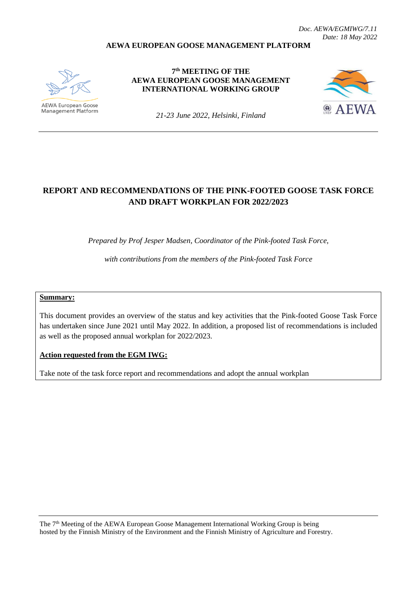#### **AEWA EUROPEAN GOOSE MANAGEMENT PLATFORM**



Management Platform

**7 th MEETING OF THE AEWA EUROPEAN GOOSE MANAGEMENT INTERNATIONAL WORKING GROUP**



*21-23 June 2022, Helsinki, Finland*

# **REPORT AND RECOMMENDATIONS OF THE PINK-FOOTED GOOSE TASK FORCE AND DRAFT WORKPLAN FOR 2022/2023**

*Prepared by Prof Jesper Madsen, Coordinator of the Pink-footed Task Force,* 

*with contributions from the members of the Pink-footed Task Force*

#### **Summary:**

This document provides an overview of the status and key activities that the Pink-footed Goose Task Force has undertaken since June 2021 until May 2022. In addition, a proposed list of recommendations is included as well as the proposed annual workplan for 2022/2023.

**Action requested from the EGM IWG:**

Take note of the task force report and recommendations and adopt the annual workplan

The 7<sup>th</sup> Meeting of the AEWA European Goose Management International Working Group is being hosted by the Finnish Ministry of the Environment and the Finnish Ministry of Agriculture and Forestry.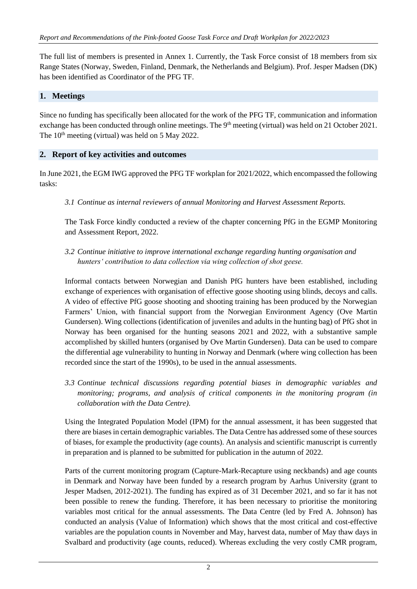The full list of members is presented in Annex 1. Currently, the Task Force consist of 18 members from six Range States (Norway, Sweden, Finland, Denmark, the Netherlands and Belgium). Prof. Jesper Madsen (DK) has been identified as Coordinator of the PFG TF.

### **1. Meetings**

Since no funding has specifically been allocated for the work of the PFG TF, communication and information exchange has been conducted through online meetings. The  $9<sup>th</sup>$  meeting (virtual) was held on 21 October 2021. The  $10<sup>th</sup>$  meeting (virtual) was held on 5 May 2022.

#### **2. Report of key activities and outcomes**

In June 2021, the EGM IWG approved the PFG TF workplan for 2021/2022, which encompassed the following tasks:

*3.1 Continue as internal reviewers of annual Monitoring and Harvest Assessment Reports.*

The Task Force kindly conducted a review of the chapter concerning PfG in the EGMP Monitoring and Assessment Report, 2022.

*3.2 Continue initiative to improve international exchange regarding hunting organisation and hunters' contribution to data collection via wing collection of shot geese.*

Informal contacts between Norwegian and Danish PfG hunters have been established, including exchange of experiences with organisation of effective goose shooting using blinds, decoys and calls. A video of effective PfG goose shooting and shooting training has been produced by the Norwegian Farmers' Union, with financial support from the Norwegian Environment Agency (Ove Martin Gundersen). Wing collections (identification of juveniles and adults in the hunting bag) of PfG shot in Norway has been organised for the hunting seasons 2021 and 2022, with a substantive sample accomplished by skilled hunters (organised by Ove Martin Gundersen). Data can be used to compare the differential age vulnerability to hunting in Norway and Denmark (where wing collection has been recorded since the start of the 1990s), to be used in the annual assessments.

*3.3 Continue technical discussions regarding potential biases in demographic variables and monitoring; programs, and analysis of critical components in the monitoring program (in collaboration with the Data Centre).* 

Using the Integrated Population Model (IPM) for the annual assessment, it has been suggested that there are biases in certain demographic variables. The Data Centre has addressed some of these sources of biases, for example the productivity (age counts). An analysis and scientific manuscript is currently in preparation and is planned to be submitted for publication in the autumn of 2022.

Parts of the current monitoring program (Capture-Mark-Recapture using neckbands) and age counts in Denmark and Norway have been funded by a research program by Aarhus University (grant to Jesper Madsen, 2012-2021). The funding has expired as of 31 December 2021, and so far it has not been possible to renew the funding. Therefore, it has been necessary to prioritise the monitoring variables most critical for the annual assessments. The Data Centre (led by Fred A. Johnson) has conducted an analysis (Value of Information) which shows that the most critical and cost-effective variables are the population counts in November and May, harvest data, number of May thaw days in Svalbard and productivity (age counts, reduced). Whereas excluding the very costly CMR program,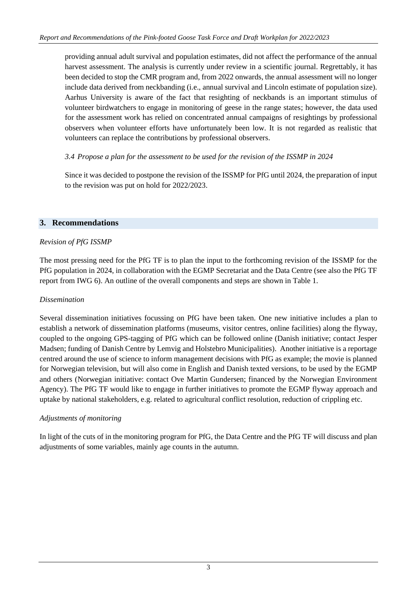providing annual adult survival and population estimates, did not affect the performance of the annual harvest assessment. The analysis is currently under review in a scientific journal. Regrettably, it has been decided to stop the CMR program and, from 2022 onwards, the annual assessment will no longer include data derived from neckbanding (i.e., annual survival and Lincoln estimate of population size). Aarhus University is aware of the fact that resighting of neckbands is an important stimulus of volunteer birdwatchers to engage in monitoring of geese in the range states; however, the data used for the assessment work has relied on concentrated annual campaigns of resightings by professional observers when volunteer efforts have unfortunately been low. It is not regarded as realistic that volunteers can replace the contributions by professional observers.

## *3.4 Propose a plan for the assessment to be used for the revision of the ISSMP in 2024*

Since it was decided to postpone the revision of the ISSMP for PfG until 2024, the preparation of input to the revision was put on hold for 2022/2023.

## **3. Recommendations**

#### *Revision of PfG ISSMP*

The most pressing need for the PfG TF is to plan the input to the forthcoming revision of the ISSMP for the PfG population in 2024, in collaboration with the EGMP Secretariat and the Data Centre (see also the PfG TF report from IWG 6). An outline of the overall components and steps are shown in Table 1.

#### *Dissemination*

Several dissemination initiatives focussing on PfG have been taken. One new initiative includes a plan to establish a network of dissemination platforms (museums, visitor centres, online facilities) along the flyway, coupled to the ongoing GPS-tagging of PfG which can be followed online (Danish initiative; contact Jesper Madsen; funding of Danish Centre by Lemvig and Holstebro Municipalities). Another initiative is a reportage centred around the use of science to inform management decisions with PfG as example; the movie is planned for Norwegian television, but will also come in English and Danish texted versions, to be used by the EGMP and others (Norwegian initiative: contact Ove Martin Gundersen; financed by the Norwegian Environment Agency). The PfG TF would like to engage in further initiatives to promote the EGMP flyway approach and uptake by national stakeholders, e.g. related to agricultural conflict resolution, reduction of crippling etc.

#### *Adjustments of monitoring*

In light of the cuts of in the monitoring program for PfG, the Data Centre and the PfG TF will discuss and plan adjustments of some variables, mainly age counts in the autumn.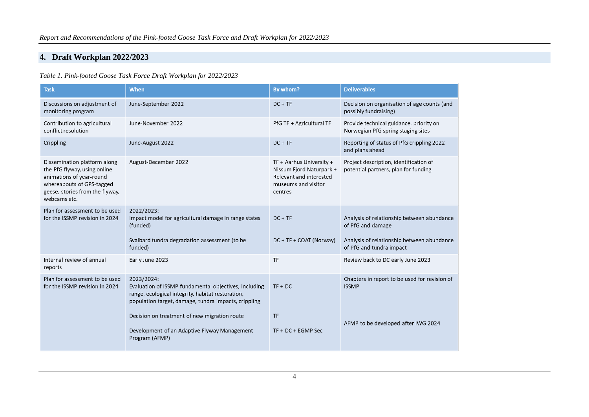## **4. Draft Workplan 2022/2023**

*Table 1. Pink-footed Goose Task Force Draft Workplan for 2022/2023*

| <b>Task</b>                                                                                                                                                              | <b>When</b>                                                                                                                                                                      | By whom?                                                                                                          | <b>Deliverables</b>                                                                                           |
|--------------------------------------------------------------------------------------------------------------------------------------------------------------------------|----------------------------------------------------------------------------------------------------------------------------------------------------------------------------------|-------------------------------------------------------------------------------------------------------------------|---------------------------------------------------------------------------------------------------------------|
| Discussions on adjustment of<br>monitoring program                                                                                                                       | June-September 2022                                                                                                                                                              | $DC + TF$                                                                                                         | Decision on organisation of age counts (and<br>possibly fundraising)                                          |
| Contribution to agricultural<br>conflict resolution                                                                                                                      | June-November 2022                                                                                                                                                               | PfG TF + Agricultural TF                                                                                          | Provide technical guidance, priority on<br>Norwegian PfG spring staging sites                                 |
| Crippling                                                                                                                                                                | June-August 2022                                                                                                                                                                 | $DC + TF$                                                                                                         | Reporting of status of PfG crippling 2022<br>and plans ahead                                                  |
| Dissemination platform along<br>the PfG flyway, using online<br>animations of year-round<br>whereabouts of GPS-tagged<br>geese, stories from the flyway,<br>webcams etc. | August-December 2022                                                                                                                                                             | TF + Aarhus University +<br>Nissum Fjord Naturpark +<br>Relevant and interested<br>museums and visitor<br>centres | Project description, identification of<br>potential partners, plan for funding                                |
| Plan for assessment to be used<br>for the ISSMP revision in 2024                                                                                                         | 2022/2023:<br>Impact model for agricultural damage in range states<br>(funded)<br>Svalbard tundra degradation assessment (to be                                                  | $DC + TF$<br>DC + TF + COAT (Norway)                                                                              | Analysis of relationship between abundance<br>of PfG and damage<br>Analysis of relationship between abundance |
|                                                                                                                                                                          | funded)                                                                                                                                                                          |                                                                                                                   | of PfG and tundra impact                                                                                      |
| Internal review of annual<br>reports                                                                                                                                     | Early June 2023                                                                                                                                                                  | <b>TF</b>                                                                                                         | Review back to DC early June 2023                                                                             |
| Plan for assessment to be used<br>for the ISSMP revision in 2024                                                                                                         | 2023/2024:<br>Evaluation of ISSMP fundamental objectives, including<br>range, ecological integrity, habitat restoration,<br>population target, damage, tundra impacts, crippling | $TF + DC$                                                                                                         | Chapters in report to be used for revision of<br><b>ISSMP</b>                                                 |
|                                                                                                                                                                          | Decision on treatment of new migration route<br>Development of an Adaptive Flyway Management<br>Program (AFMP)                                                                   | <b>TF</b><br>$TF + DC + EGMP$ Sec                                                                                 | AFMP to be developed after IWG 2024                                                                           |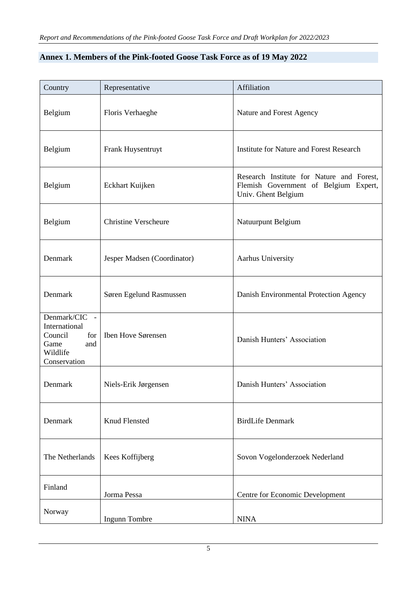| Annex 1. Members of the Pink-footed Goose Task Force as of 19 May 2022 |
|------------------------------------------------------------------------|
|------------------------------------------------------------------------|

| Country                                                                                     | Representative              | Affiliation                                                                                               |
|---------------------------------------------------------------------------------------------|-----------------------------|-----------------------------------------------------------------------------------------------------------|
| Belgium                                                                                     | Floris Verhaeghe            | Nature and Forest Agency                                                                                  |
| Belgium                                                                                     | Frank Huysentruyt           | <b>Institute for Nature and Forest Research</b>                                                           |
| Belgium                                                                                     | Eckhart Kuijken             | Research Institute for Nature and Forest,<br>Flemish Government of Belgium Expert,<br>Univ. Ghent Belgium |
| Belgium                                                                                     | <b>Christine Verscheure</b> | Natuurpunt Belgium                                                                                        |
| Denmark                                                                                     | Jesper Madsen (Coordinator) | Aarhus University                                                                                         |
| Denmark                                                                                     | Søren Egelund Rasmussen     | Danish Environmental Protection Agency                                                                    |
| Denmark/CIC -<br>International<br>Council<br>for<br>Game<br>and<br>Wildlife<br>Conservation | Iben Hove Sørensen          | Danish Hunters' Association                                                                               |
| Denmark                                                                                     | Niels-Erik Jørgensen        | Danish Hunters' Association                                                                               |
| Denmark                                                                                     | <b>Knud Flensted</b>        | <b>BirdLife Denmark</b>                                                                                   |
| The Netherlands                                                                             | Kees Koffijberg             | Sovon Vogelonderzoek Nederland                                                                            |
| Finland                                                                                     | Jorma Pessa                 | Centre for Economic Development                                                                           |
| Norway                                                                                      | Ingunn Tombre               | <b>NINA</b>                                                                                               |